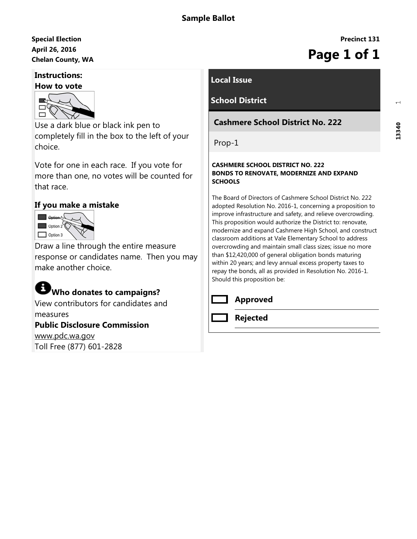# April 26, 2016 Special Election April 26, 2016<br>Chelan County, WA **Page 1 of 1**

## Instructions:



Use a dark blue or black ink pen to completely fill in the box to the left of your choice.

Vote for one in each race. If you vote for more than one, no votes will be counted for that race.

## If you make a mistake



Draw a line through the entire measure response or candidates name. Then you may make another choice.

# Who donates to campaigns?

View contributors for candidates and measures

#### Public Disclosure Commission

www.pdc.wa.gov Toll Free (877) 601-2828

## Local Issue

# School District

### Cashmere School District No. 222

Prop-1

#### CASHMERE SCHOOL DISTRICT NO. 222 BONDS TO RENOVATE, MODERNIZE AND EXPAND **SCHOOLS**

The Board of Directors of Cashmere School District No. 222 adopted Resolution No. 2016-1, concerning a proposition to improve infrastructure and safety, and relieve overcrowding. This proposition would authorize the District to: renovate, modernize and expand Cashmere High School, and construct classroom additions at Vale Elementary School to address overcrowding and maintain small class sizes; issue no more than \$12,420,000 of general obligation bonds maturing within 20 years; and levy annual excess property taxes to repay the bonds, all as provided in Resolution No. 2016-1. Should this proposition be:



#### Approved

Rejected